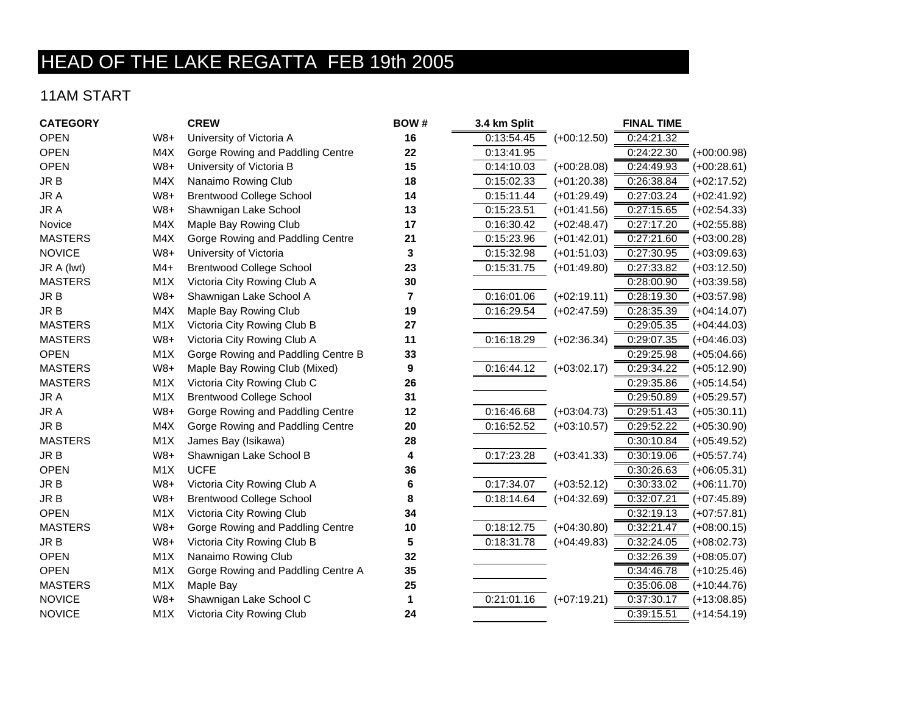## HEAD OF THE LAKE REGATTA FEB 19th 2005

## 11AM START

| <b>CATEGORY</b> |                  | <b>CREW</b>                        | BOW# | 3.4 km Split |               | <b>FINAL TIME</b> |               |
|-----------------|------------------|------------------------------------|------|--------------|---------------|-------------------|---------------|
| <b>OPEN</b>     | $W8+$            | University of Victoria A           | 16   | 0:13:54.45   | $(+00:12.50)$ | 0:24:21.32        |               |
| <b>OPEN</b>     | M4X              | Gorge Rowing and Paddling Centre   | 22   | 0:13:41.95   |               | 0:24:22.30        | $(+00:00.98)$ |
| <b>OPEN</b>     | $W8+$            | University of Victoria B           | 15   | 0:14:10.03   | $(+00:28.08)$ | 0:24:49.93        | $(+00:28.61)$ |
| JR B            | M4X              | Nanaimo Rowing Club                | 18   | 0:15:02.33   | $(+01:20.38)$ | 0:26:38.84        | $(+02:17.52)$ |
| JR A            | $W8+$            | <b>Brentwood College School</b>    | 14   | 0:15:11.44   | $(+01:29.49)$ | 0:27:03.24        | $(+02:41.92)$ |
| JR A            | $W8+$            | Shawnigan Lake School              | 13   | 0:15:23.51   | $(+01:41.56)$ | 0:27:15.65        | $(+02:54.33)$ |
| Novice          | M4X              | Maple Bay Rowing Club              | 17   | 0:16:30.42   | $(+02:48.47)$ | 0:27:17.20        | $(+02:55.88)$ |
| <b>MASTERS</b>  | M4X              | Gorge Rowing and Paddling Centre   | 21   | 0:15:23.96   | $(+01:42.01)$ | 0:27:21.60        | $(+03:00.28)$ |
| <b>NOVICE</b>   | $W8+$            | University of Victoria             | 3    | 0:15:32.98   | $(+01:51.03)$ | 0:27:30.95        | $(+03:09.63)$ |
| JR A (lwt)      | $M4+$            | <b>Brentwood College School</b>    | 23   | 0:15:31.75   | $(+01:49.80)$ | 0:27:33.82        | $(+03:12.50)$ |
| <b>MASTERS</b>  | M1X              | Victoria City Rowing Club A        | 30   |              |               | 0:28:00.90        | $(+03:39.58)$ |
| JR B            | $W8+$            | Shawnigan Lake School A            | 7    | 0:16:01.06   | $(+02:19.11)$ | 0:28:19.30        | $(+03:57.98)$ |
| JR B            | M4X              | Maple Bay Rowing Club              | 19   | 0:16:29.54   | $(+02:47.59)$ | 0:28:35.39        | $(+04:14.07)$ |
| <b>MASTERS</b>  | M1X              | Victoria City Rowing Club B        | 27   |              |               | 0:29:05.35        | $(+04:44.03)$ |
| <b>MASTERS</b>  | $W8+$            | Victoria City Rowing Club A        | 11   | 0:16:18.29   | $(+02:36.34)$ | 0:29:07.35        | $(+04:46.03)$ |
| <b>OPEN</b>     | M1X              | Gorge Rowing and Paddling Centre B | 33   |              |               | 0:29:25.98        | $(+05:04.66)$ |
| <b>MASTERS</b>  | $W8+$            | Maple Bay Rowing Club (Mixed)      | 9    | 0:16:44.12   | $(+03:02.17)$ | 0:29:34.22        | $(+05:12.90)$ |
| <b>MASTERS</b>  | M1X              | Victoria City Rowing Club C        | 26   |              |               | 0:29:35.86        | $(+05:14.54)$ |
| JR A            | M1X              | <b>Brentwood College School</b>    | 31   |              |               | 0:29:50.89        | $(+05:29.57)$ |
| JR A            | $W8+$            | Gorge Rowing and Paddling Centre   | 12   | 0:16:46.68   | $(+03:04.73)$ | 0:29:51.43        | $(+05:30.11)$ |
| JR B            | M4X              | Gorge Rowing and Paddling Centre   | 20   | 0:16:52.52   | $(+03:10.57)$ | 0:29:52.22        | $(+05:30.90)$ |
| <b>MASTERS</b>  | M1X              | James Bay (Isikawa)                | 28   |              |               | 0:30:10.84        | $(+05:49.52)$ |
| JR B            | $W8+$            | Shawnigan Lake School B            | 4    | 0:17:23.28   | $(+03:41.33)$ | 0:30:19.06        | $(+05:57.74)$ |
| <b>OPEN</b>     | M1X              | <b>UCFE</b>                        | 36   |              |               | 0:30:26.63        | $(+06:05.31)$ |
| JR B            | $W8+$            | Victoria City Rowing Club A        | 6    | 0:17:34.07   | $(+03:52.12)$ | 0:30:33.02        | $(+06:11.70)$ |
| JR B            | $W8+$            | <b>Brentwood College School</b>    | 8    | 0:18:14.64   | $(+04:32.69)$ | 0:32:07.21        | $(+07:45.89)$ |
| <b>OPEN</b>     | M <sub>1</sub> X | Victoria City Rowing Club          | 34   |              |               | 0:32:19.13        | $(+07:57.81)$ |
| <b>MASTERS</b>  | $W8+$            | Gorge Rowing and Paddling Centre   | 10   | 0:18:12.75   | $(+04:30.80)$ | 0:32:21.47        | $(+08:00.15)$ |
| JR B            | $W8+$            | Victoria City Rowing Club B        | 5    | 0:18:31.78   | $(+04:49.83)$ | 0:32:24.05        | $(+08:02.73)$ |
| <b>OPEN</b>     | M1X              | Nanaimo Rowing Club                | 32   |              |               | 0:32:26.39        | $(+08:05.07)$ |
| <b>OPEN</b>     | M <sub>1</sub> X | Gorge Rowing and Paddling Centre A | 35   |              |               | 0:34:46.78        | $(+10:25.46)$ |
| <b>MASTERS</b>  | M1X              | Maple Bay                          | 25   |              |               | 0:35:06.08        | $(+10:44.76)$ |
| <b>NOVICE</b>   | $W8+$            | Shawnigan Lake School C            | 1    | 0:21:01.16   | $(+07:19.21)$ | 0:37:30.17        | $(+13:08.85)$ |
| <b>NOVICE</b>   | M1X              | Victoria City Rowing Club          | 24   |              |               | 0:39:15.51        | $(+14:54.19)$ |
|                 |                  |                                    |      |              |               |                   |               |